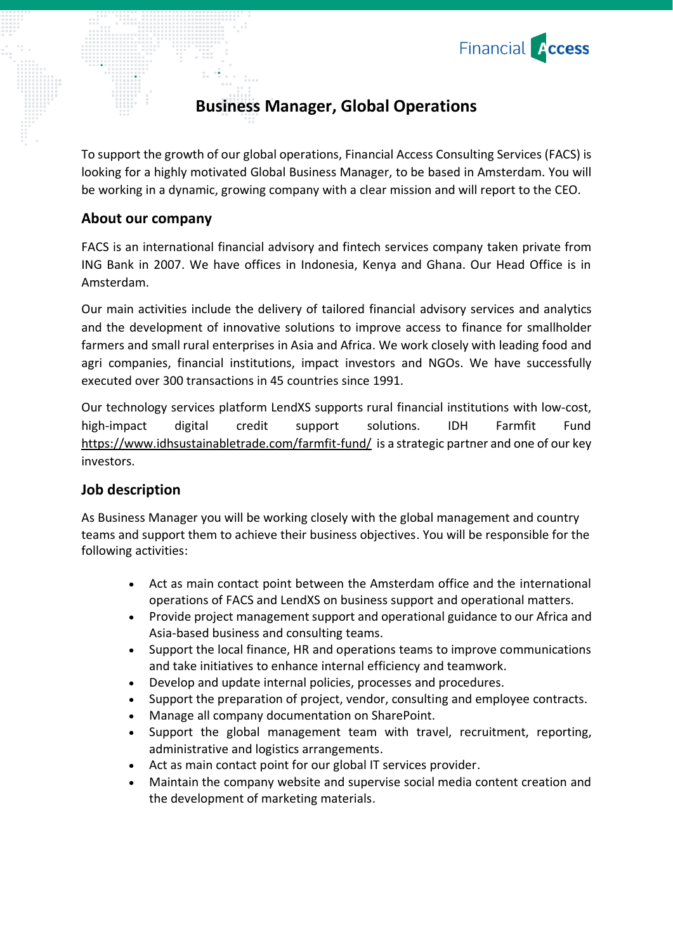

# **Business Manager, Global Operations**

To support the growth of our global operations, Financial Access Consulting Services (FACS) is looking for a highly motivated Global Business Manager, to be based in Amsterdam. You will be working in a dynamic, growing company with a clear mission and will report to the CEO.

## **About our company**

FACS is an international financial advisory and fintech services company taken private from ING Bank in 2007. We have offices in Indonesia, Kenya and Ghana. Our Head Office is in Amsterdam.

Our main activities include the delivery of tailored financial advisory services and analytics and the development of innovative solutions to improve access to finance for smallholder farmers and small rural enterprises in Asia and Africa. We work closely with leading food and agri companies, financial institutions, impact investors and NGOs. We have successfully executed over 300 transactions in 45 countries since 1991.

Our technology services platform LendXS supports rural financial institutions with low-cost, high-impact digital credit support solutions. IDH Farmfit Fund <https://www.idhsustainabletrade.com/farmfit-fund/> is a strategic partner and one of our key investors.

#### **Job description**

As Business Manager you will be working closely with the global management and country teams and support them to achieve their business objectives. You will be responsible for the following activities:

- Act as main contact point between the Amsterdam office and the international operations of FACS and LendXS on business support and operational matters.
- Provide project management support and operational guidance to our Africa and Asia-based business and consulting teams.
- Support the local finance, HR and operations teams to improve communications and take initiatives to enhance internal efficiency and teamwork.
- Develop and update internal policies, processes and procedures.
- Support the preparation of project, vendor, consulting and employee contracts.
- Manage all company documentation on SharePoint.
- Support the global management team with travel, recruitment, reporting, administrative and logistics arrangements.
- Act as main contact point for our global IT services provider.
- Maintain the company website and supervise social media content creation and the development of marketing materials.